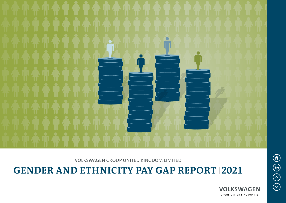

VOLKSWAGEN GROUP UNITED KINGDOM LIMITED

# **GENDER AND ETHNICITY PAY GAP REPORT 2021**



 $\bigcirc$  $\bigoplus$  $\bigodot$  $\bigodot$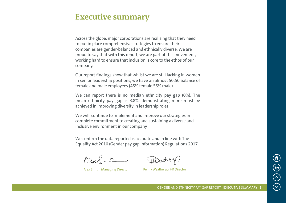Across the globe, major corporations are realising that they need to put in place comprehensive strategies to ensure their companies are gender-balanced and ethnically diverse. We are proud to say that with this report, we are part of this movement, working hard to ensure that inclusion is core to the ethos of our company.

Our report findings show that whilst we are still lacking in women in senior leadership positions, we have an almost 50:50 balance of female and male employees (45% female 55% male).

We can report there is no median ethnicity pay gap (0%). The mean ethnicity pay gap is 3.8%, demonstrating more must be achieved in improving diversity in leadership roles.

We will continue to implement and improve our strategies in complete commitment to creating and sustaining a diverse and inclusive environment in our company.

We confirm the data reported is accurate and in line with The Equality Act 2010 (Gender pay gap information) Regulations 2017.

Ausch

DEathery

Alex Smith, Managing Director Penny Weatherup, HR Director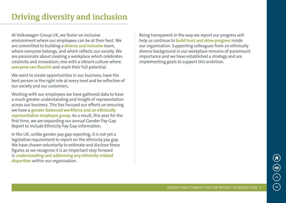### **Driving diversity and inclusion**

At Volkswagen Group UK, we foster an inclusive environment where our employees can be at their best. We are committed to building a **diverse and inclusive** team, where everyone belongs, and which reflects our society. We are passionate about creating a workplace which celebrates creativity and innovation; one with a vibrant culture where **everyone can flourish** and reach their full potential.

We want to create opportunities in our business, have the best person in the right role at every level and be reflective of our society and our customers.

Working with our employees we have gathered data to have a much greater understanding and insight of representation across our business. This has focused our efforts on ensuring we have a **gender-balanced workforce and an ethnically representative employee group.** As a result, this year for the first time, we are expanding our annual Gender Pay Gap Report to include Ethnicity Pay Gap information.

In the UK, unlike gender pay gap reporting, it is not yet a legislative requirement to report on the ethnicity pay gap. We have chosen voluntarily to estimate and disclose these figures as we recognise it is an important step forward in **understanding and addressing any ethnicity-related disparities** within our organisation.

Being transparent in the way we report our progress will help us continue to **build trust and drive progress** inside our organisation. Supporting colleagues from an ethnically diverse background in our workplace remains of paramount importance and we have established a strategy and are implementing goals to support this ambition.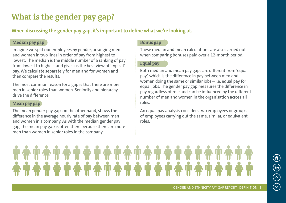## **What is the gender pay gap?**

**When discussing the gender pay gap, it's important to define what we're looking at.** 

#### **Median pay gap**

Imagine we split our employees by gender, arranging men and women in two lines in order of pay from highest to lowest. The median is the middle number of a ranking of pay from lowest to highest and gives us the best view of 'typical' pay. We calculate separately for men and for women and then compare the results.

The most common reason for a gap is that there are more men in senior roles than women. Seniority and hierarchy drive the difference.

#### **Mean pay gap**

The mean gender pay gap, on the other hand, shows the difference in the average hourly rate of pay between men and women in a company. As with the median gender pay gap, the mean pay gap is often there because there are more men than women in senior roles in the company.

#### **Bonus gap**

These median and mean calculations are also carried out when comparing bonuses paid over a 12-month period.

#### **Equal pay**

Both median and mean pay gaps are different from 'equal pay', which is the difference in pay between men and women doing the same or similar jobs – i.e. equal pay for equal jobs. The gender pay gap measures the difference in pay regardless of role and can be influenced by the different number of men and women in the organisation across all roles.

An equal pay analysis considers two employees or groups of employees carrying out the same, similar, or equivalent roles.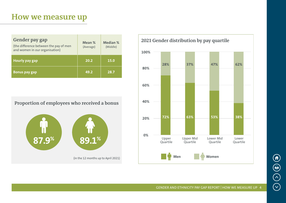### **How we measure up**

| <b>Gender pay gap</b><br>(the difference between the pay of men<br>and women in our organisation) | Mean %<br>(Average) | <b>Median %</b><br>(Middle) |
|---------------------------------------------------------------------------------------------------|---------------------|-----------------------------|
| <b>Hourly pay gap</b>                                                                             | 20.2                | 15.0                        |
| <b>Bonus pay gap</b>                                                                              | 49.2                | 28.7                        |

**Proportion of employees who received a bonus**





GENDER AND ETHNICITY PAY GAP REPORT | HOW WE MEASURE UP 4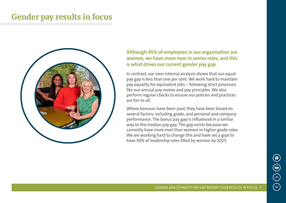### **Gender pay results in focus**



### **Although 45% of employees in our organisation are women, we have more men in senior roles, and this is what drives our current gender pay gap.**

In contrast, our own internal analysis shows that our equal pay gap is less than one per cent. We work hard to maintain pay equality for equivalent jobs – following strict processes like our annual pay review and pay principles. We also perform regular checks to ensure our policies and practices are fair to all.

Where bonuses have been paid, they have been based on several factors, including grade, and personal and company performance. The bonus pay gap is influenced in a similar way to the median pay gap. The gap exists because we currently have more men than women in higher-grade roles. We are working hard to change this and have set a goal to have 30% of leadership roles filled by women by 2025.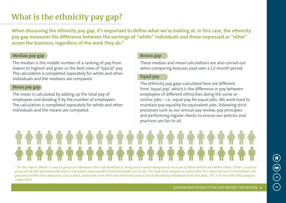## **What is the ethnicity pay gap?**

**When discussing the ethnicity pay gap, it's important to define what we're looking at. In this case, the ethnicity pay gap measures the difference between the earnings of "white" individuals and those expressed as "other" across the business, regardless of the work they do.\***

#### **Median pay gap**

The median is the middle number of a ranking of pay from lowest to highest and gives us the best view of 'typical' pay. The calculation is completed separately for white and other individuals and the medians are compared.

#### **Mean pay gap**

The mean is calculated by adding up the total pay of employees and dividing it by the number of employees. The calculation is completed separately for white and other individuals and the means are compared.

#### **Bonus gap**

These median and mean calculations are also carried out when comparing bonuses paid over a 12-month period.

#### **Equal pay**

The ethnicity pay gaps calculated here are different from 'equal pay', which is the difference in pay between employees of different ethnicities doing the same or similar jobs – i.e., equal pay for equal jobs. We work hard to maintain pay equality for equivalent jobs; following strict processes such as our annual pay review, pay principles and performing regular checks to ensure our policies and practices are fair to all.

*\* For this report 'White' is used to group all individuals that self-identified as being from a white background, inclusive of White British and White Other. 'Other' is used to group all racially and ethnically diverse individuals and excludes those that prefer not to say. This high-level category is used within this report because to breakdown the grouping further into categories such as Black, Asian and more than two ethnicities pose a risk of identifying individuals from this data. This is in line with ONS category suggestions.*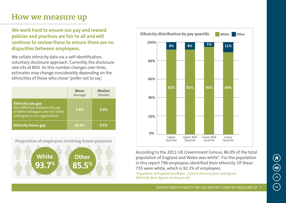### **How we measure up**

**We work hard to ensure our pay and reward policies and practices are fair to all and will continue to review these to ensure there are no disparities between employees.**

We collate ethnicity data via a self-identification, voluntary disclosure approach. Currently, the disclosure rate sits at 86%. As this number changes over time, estimates may change considerably depending on the ethnicities of those who chose 'prefer not to say'.

|                                                                                                                                     | Mean<br>(Average) | <b>Median</b><br>(Middle) |
|-------------------------------------------------------------------------------------------------------------------------------------|-------------------|---------------------------|
| <b>Ethnicity pay gap</b><br>(the difference between the pay<br>of white colleagues and non white<br>colleagues in our organisation) | 3.8%              | 0.0%                      |
| <b>Ethnicity bonus gap</b>                                                                                                          | 26.2%             | 9.5%                      |

**Proportion of employees receiving bonus payment**





According to the 2011 UK Government Census, 86.0% of the total population of England and Wales was white\*. For the population in this report 796 employees identified their ethnicity. Of these 735 were white, which is 92.3% of employees.

*\*Population of England and Wales - GOV.UK ethnicity facts and figures (ethnicity-facts-figures.service.gov.uk)*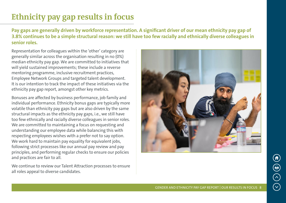# **Ethnicity pay gap results in focus**

**Pay gaps are generally driven by workforce representation. A significant driver of our mean ethnicity pay gap of 3.8% continues to be a simple structural reason: we still have too few racially and ethnically diverse colleagues in senior roles.** 

Representation for colleagues within the 'other' category are generally similar across the organisation resulting in no (0%) median ethnicity pay gap. We are committed to initiatives that will yield sustained improvements; these include a reverse mentoring programme, inclusive recruitment practices, Employee Network Groups and targeted talent development. It is our intention to track the impact of these initiatives via the ethnicity pay gap report, amongst other key metrics.

Bonuses are affected by business performance, job family and individual performance. Ethnicity bonus gaps are typically more volatile than ethnicity pay gaps but are also driven by the same structural impacts as the ethnicity pay gaps, i.e., we still have too few ethnically and racially diverse colleagues in senior roles. We are committed to maintaining a focus on requesting and understanding our employee data while balancing this with respecting employees wishes with a prefer not to say option. We work hard to maintain pay equality for equivalent jobs, following strict processes like our annual pay review and pay principles, and performing regular checks to ensure our policies and practices are fair to all.

We continue to review our Talent Attraction processes to ensure all roles appeal to diverse candidates.

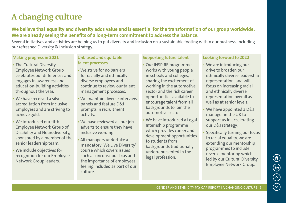# **A changing culture**

**We believe that equality and diversity adds value and is essential for the transformation of our group worldwide. We are already seeing the benefits of a long-term commitment to address the balance.**

Several initiatives and activities are helping us to put diversity and inclusion on a sustainable footing within our business, including our refreshed Diversity & Inclusion strategy.

#### **Making progress in 2021**

- The Cultural Diversity Employee Network Group celebrates our differences and engages in awareness and education-building activities throughout the year.
- We have received a silver accreditation from Inclusive Employers and are striving to achieve gold.
- We introduced our fifth Employee Network Group of Disability and Neurodiversity, sponsored by a member of the senior leadership team.
- We include objectives for recognition for our Employee Network Group leaders.

#### **Unbiased and equitable talent processes**

- We strive for no barriers for racially and ethnically diverse employees and continue to review our talent management processes.
- We maintain diverse interview panels and feature D&I prompts in recruitment activity.
- We have reviewed all our job adverts to ensure they have inclusive wording.
- All managers undertake a mandatory 'We Live Diversity' course which covers issues such as unconscious bias and the importance of employees feeling included as part of our culture.

#### **Supporting future talent**

- Our INSPIRE programme works with young people in schools and colleges, sharing the excitement of working in the automotive sector and the rich career opportunities available to encourage talent from all backgrounds to join the automotive sector.
- We have introduced a Legal Internship programme which provides career and development opportunities to students from backgrounds traditionally underrepresented in the legal profession.

#### **Looking forward to 2022**

- We are introducing our drive to broaden our ethnically diverse leadership representation, and will focus on increasing racial and ethnically diverse representation overall as well as at senior levels.
- We have appointed a D&I manager in the UK to support us in accelerating our D&I strategy.
- Specifically turning our focus to racial equality, we are extending our mentorship programmes to include reverse mentoring which is led by our Cultural Diversity Employee Network Group.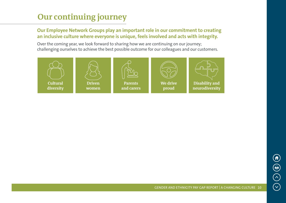### **Our continuing journey**

#### **Our Employee Network Groups play an important role in our commitment to creating an inclusive culture where everyone is unique, feels involved and acts with integrity.**

Over the coming year, we look forward to sharing how we are continuing on our journey; challenging ourselves to achieve the best possible outcome for our colleagues and our customers.

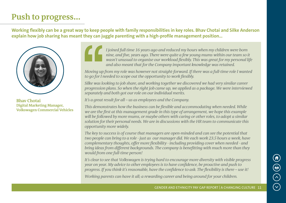## **Push to progress...**

**Working flexibly can be a great way to keep people with family responsibilities in key roles. Bhav Chotai and Silke Anderson explain how job sharing has meant they can juggle parenting with a high-profile management position…**



**Bhav Chotai Digital Marketing Manager, Volkswagen Commercial Vehicles**

*I joined full time 16 years ago and reduced my hours when my children were born nine, and five, years ago. There were quite a few young mums within our team so it wasn't unusual to organise our workload flexibly. This was great for my personal life and also meant that for the Company important knowledge was retained.*

*Moving up from my role was however not straight-forward. If there was a full-time role I wanted to go for I needed to scope out the opportunity to work flexibly.*

*Silke was looking to job share, and working together we discovered we had very similar career progression plans. So when the right job came up, we applied as a package. We were interviewed separately and both got our role on our individual merits.*

*It's a great result for all – us as employees and the Company.*

*This demonstrates how the business can be flexible and accommodating when needed. While we are the first at this management grade in this type of arrangement, we hope this example will be followed by more mums, or maybe others with caring or other roles, to adopt a similar solution for their personal needs. We are in discussions with the HR team to communicate this opportunity more widely.*

*The key to success is of course that managers are open-minded and can see the potential that two people can bring to a role - just as our manager did. We each work 23.5 hours a week, have complementary thoughts, offer more flexibility - including providing cover when needed - and bring ideas from different backgrounds. The company is benefitting with much more than they would from one full-time person!*

*It's clear to see that Volkswagen is trying hard to encourage more diversity with visible progress year on year. My advice to other employees is to have confidence, be proactive and push to progress. If you think it's reasonable, have the confidence to ask. The flexibility is there – use it! Working parents can have it all; a rewarding career and being around for your children.*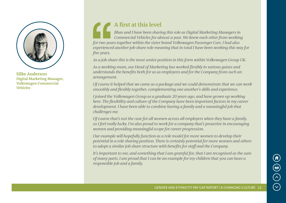

**Silke Anderson Digital Marketing Manager, Volkswagen Commercial Vehicles**

### **A first at this level**

*Bhav and I have been sharing this role as Digital Marketing Managers in Commercial Vehicles for almost a year. We knew each other from working for two years together within the sister brand Volkswagen Passenger Cars. I had also experienced another job-share role meaning that in total I have been working this way for five years.*

*As a job-share this is the most senior position in this form within Volkswagen Group UK.*

*As a working mum, our Head of Marketing has worked flexibly in various guises and understands the benefits both for us as employees and for the Company from such an arrangement.*

*Of course it helped that we came as a package and we could demonstrate that we can work smoothly and flexibly together, complementing one another's skills and experience.*

*I joined the Volkswagen Group as a graduate 20 years ago, and have grown up working here. The flexibility and culture of the Company have been important factors in my career development. I have been able to combine having a family and a meaningful job that challenges me.*

*Of course that's not the case for all women across all employers when they have a family, so I feel really lucky. I'm also proud to work for a company that's proactive in encouraging women and providing meaningful scope for career progression.*

*Our example will hopefully function as a role model for more women to develop their potential in a role sharing position. There is certainly potential for more women and others to adopt a similar job share structure with benefits for staff and the Company.*

*It's important to me, and something that I am grateful for, that I am recognised as the sum of many parts. I am proud that I can be an example for my children that you can have a responsible job and a family.*